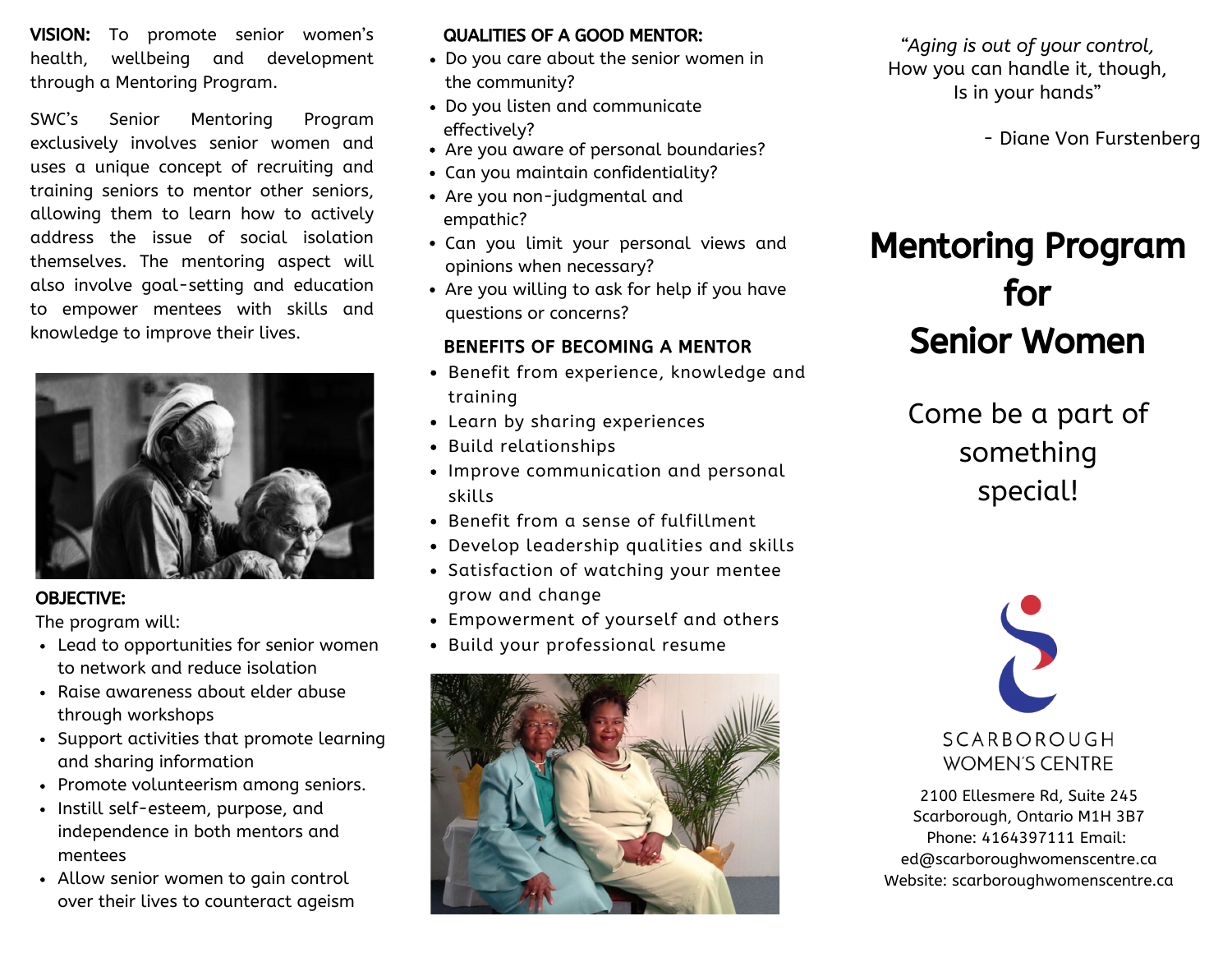VISION: To promote senior women's health, wellbeing and development through a Mentoring Program.

SWC's Senior Mentoring Program exclusively involves senior women and uses a unique concept of recruiting and training seniors to mentor other seniors, allowing them to learn how to actively address the issue of social isolation themselves. The mentoring aspect will also involve goal-setting and education to empower mentees with skills and knowledge to improve their lives.



#### OBJECTIVE:

The program will:

- Lead to opportunities for senior women to network and reduce isolation
- Raise awareness about elder abuse through workshops
- Support activities that promote learning and sharing information
- Promote volunteerism among seniors.
- Instill self-esteem, purpose, and independence in both mentors and mentees
- Allow senior women to gain control over their lives to counteract ageism

#### QUALITIES OF A GOOD MENTOR:

- Do you care about the senior women in the community?
- Do you listen and communicate effectively?
- Are you aware of personal boundaries?
- Can you maintain confidentiality?
- Are you non-judgmental and empathic?
- Can you limit your personal views and opinions when necessary?
- Are you willing to ask for help if you have questions or concerns?

### BENEFITS OF BECOMING A MENTOR

- Benefit from experience, knowledge and training
- Learn by sharing experiences
- Build relationships
- Improve communication and personal skills
- Benefit from a sense of fulfillment
- Develop leadership qualities and skills
- Satisfaction of watching your mentee grow and change
- Empowerment of yourself and others
- Build your professional resume



*"Aging is out of your control,* How you can handle it, though, Is in your hands"

- Diane Von Furstenberg

# Mentoring Program for Senior Women

Come be a part of something special!



2100 Ellesmere Rd, Suite 245 Scarborough, Ontario M1H 3B7 Phone: 4164397111 Email: ed@scarboroughwomenscentre.ca Website: scarboroughwomenscentre.ca